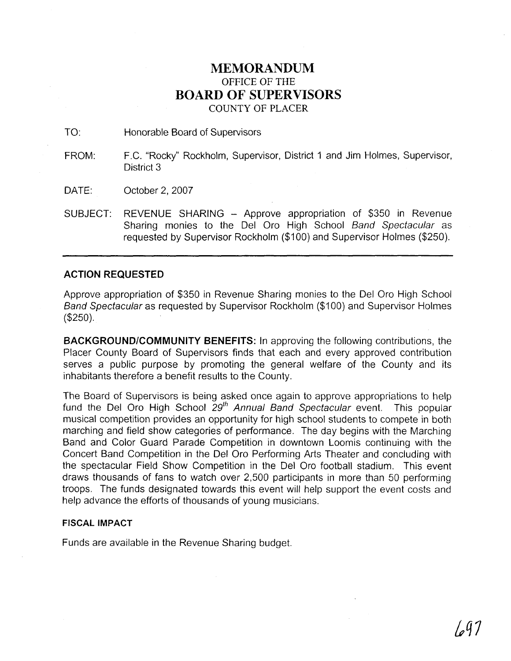## **MEMORANDUM**  OFFICE OF THE **BOARD OF SUPERVISORS**

COUNTY OF PLACER

TO: Honorable Board of Supervisors

- FROM: F.C. "Rocky" Rockholm, Supervisor, District 1 and Jim Holmes, Supervisor, District 3
- DATE: October 2, 2007
- SUBJECT: REVENUE SHARING Approve appropriation of \$350 in Revenue Sharing monies to the Del Oro High School Band Spectacular as requested by Supervisor Rockholm (\$100) and Supervisor Holmes (\$250).

## **ACTION REQUESTED**

Approve appropriation of \$350 in Revenue Sharing monies to the Del Oro High School Band Spectacular as requested by Supervisor Rockholm (\$1 00) and Supervisor Holmes (\$250).

**BACKGROUNDICOMMUNITY BENEFITS:** In approving the following contributions, the Placer County Board of Supervisors finds that each and every approved contribution serves a public purpose by promoting the general welfare of the County and its inhabitants therefore a benefit results to the County.

The Board of Supervisors is being asked once again to approve appropriations to help fund the Del Oro High School  $29<sup>th</sup>$  Annual Band Spectacular event. This popular musical competition provides an opportunity for high school students to compete in both marching and field show categories of performance. The day begins with the Marching Band and Color Guard Parade Competition in downtown Loomis continuing with the Concert Band Competition in the Del Oro Performing Arts Theater and concluding with the spectacular Field Show Competition in the Del Oro football stadium. This event draws thousands of fans to watch over 2,500 participants in more than 50 performing troops. The funds designated towards this event will help support the event costs and help advance the efforts of thousands of young musicians.

## **FISCAL IMPACT**

Funds are available in the Revenue Sharing budget.